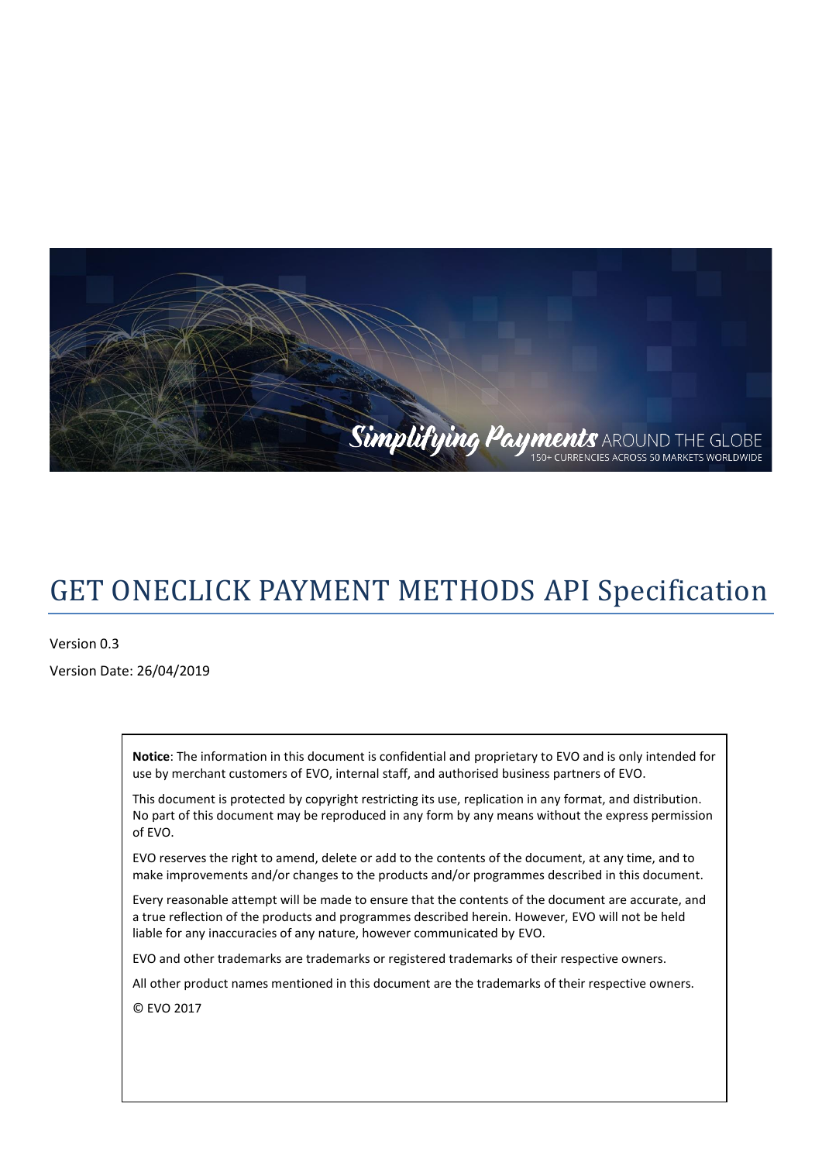

# GET ONECLICK PAYMENT METHODS API Specification

Version 0.3 Version Date: 26/04/2019

> **Notice**: The information in this document is confidential and proprietary to EVO and is only intended for use by merchant customers of EVO, internal staff, and authorised business partners of EVO.

> This document is protected by copyright restricting its use, replication in any format, and distribution. No part of this document may be reproduced in any form by any means without the express permission of EVO.

EVO reserves the right to amend, delete or add to the contents of the document, at any time, and to make improvements and/or changes to the products and/or programmes described in this document.

Every reasonable attempt will be made to ensure that the contents of the document are accurate, and a true reflection of the products and programmes described herein. However, EVO will not be held liable for any inaccuracies of any nature, however communicated by EVO.

EVO and other trademarks are trademarks or registered trademarks of their respective owners.

All other product names mentioned in this document are the trademarks of their respective owners.

© EVO 2017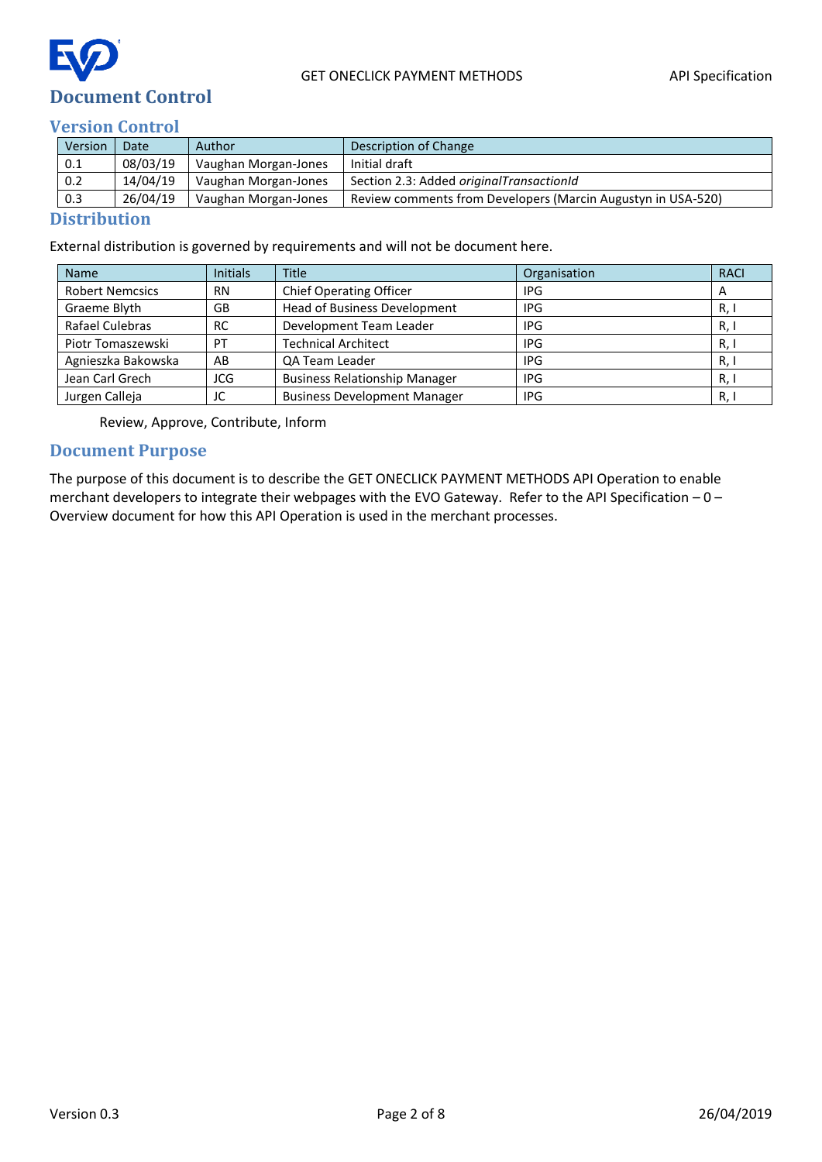

#### <span id="page-1-1"></span><span id="page-1-0"></span>**Version Control**

| Version | Date     | Author               | Description of Change                                        |
|---------|----------|----------------------|--------------------------------------------------------------|
| 0.1     | 08/03/19 | Vaughan Morgan-Jones | Initial draft                                                |
| 0.2     | 14/04/19 | Vaughan Morgan-Jones | Section 2.3: Added originalTransactionId                     |
| 0.3     | 26/04/19 | Vaughan Morgan-Jones | Review comments from Developers (Marcin Augustyn in USA-520) |

#### <span id="page-1-2"></span>**Distribution**

External distribution is governed by requirements and will not be document here.

| <b>Name</b>                  | <b>Initials</b> | <b>Title</b>                         | Organisation | <b>RACI</b>  |
|------------------------------|-----------------|--------------------------------------|--------------|--------------|
| <b>Robert Nemcsics</b>       | <b>RN</b>       | <b>Chief Operating Officer</b>       | IPG          | $\mathsf{A}$ |
| Graeme Blyth<br>GB           |                 | Head of Business Development         | IPG          | R, I         |
| Rafael Culebras<br><b>RC</b> |                 | Development Team Leader              | <b>IPG</b>   | R, I         |
| Piotr Tomaszewski<br>PT      |                 | <b>Technical Architect</b>           | IPG          | R, I         |
| Agnieszka Bakowska<br>AB     |                 | <b>QA Team Leader</b>                | IPG          | R, I         |
| Jean Carl Grech<br>JCG       |                 | <b>Business Relationship Manager</b> | IPG          | R, I         |
| Jurgen Calleja<br>JC         |                 | <b>Business Development Manager</b>  | IPG          | R, I         |

Review, Approve, Contribute, Inform

#### <span id="page-1-3"></span>**Document Purpose**

The purpose of this document is to describe the GET ONECLICK PAYMENT METHODS API Operation to enable merchant developers to integrate their webpages with the EVO Gateway. Refer to the API Specification – 0 – Overview document for how this API Operation is used in the merchant processes.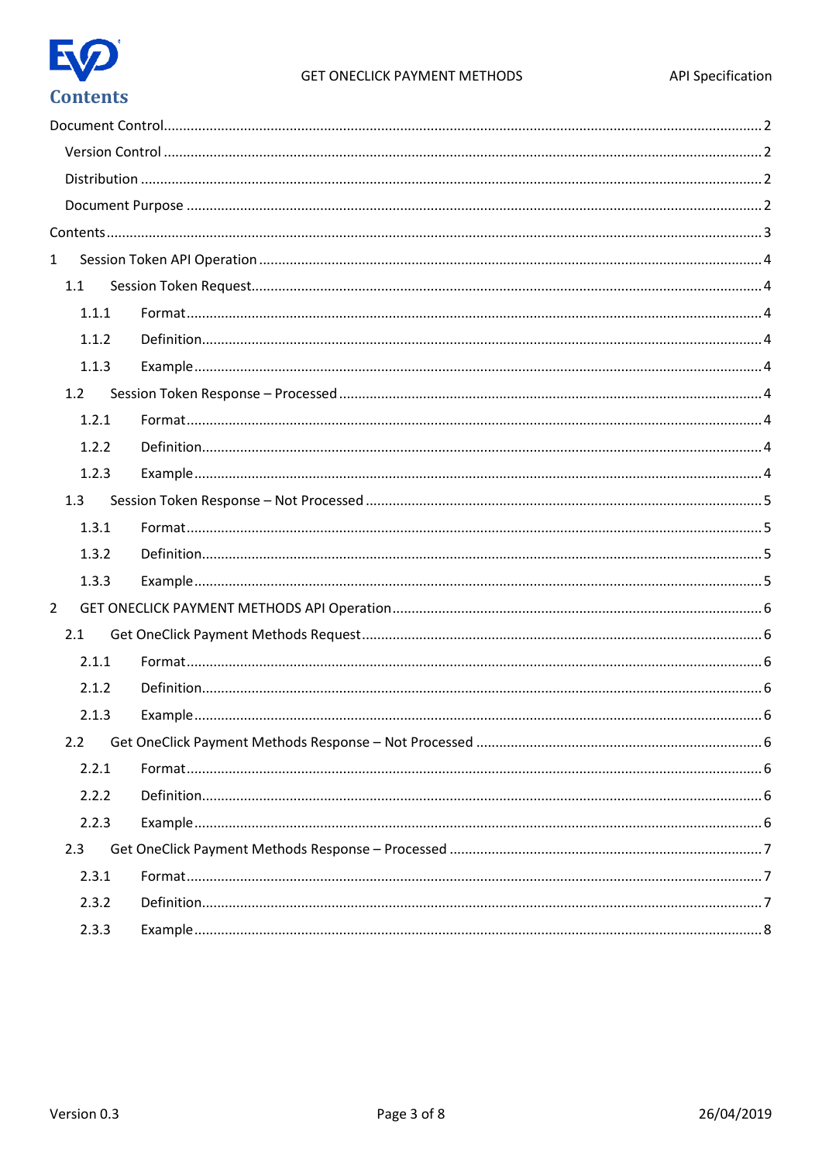

<span id="page-2-0"></span>

| $\mathbf{1}$   |     |       |  |
|----------------|-----|-------|--|
|                | 1.1 |       |  |
|                |     | 1.1.1 |  |
|                |     | 1.1.2 |  |
|                |     | 1.1.3 |  |
|                | 1.2 |       |  |
|                |     | 1.2.1 |  |
|                |     | 1.2.2 |  |
|                |     | 1.2.3 |  |
|                | 1.3 |       |  |
|                |     | 1.3.1 |  |
|                |     | 1.3.2 |  |
|                |     | 1.3.3 |  |
| $\overline{2}$ |     |       |  |
|                | 2.1 |       |  |
|                |     | 2.1.1 |  |
|                |     | 2.1.2 |  |
|                |     | 2.1.3 |  |
|                | 2.2 |       |  |
|                |     | 2.2.1 |  |
|                |     | 2.2.2 |  |
|                |     | 2.2.3 |  |
|                | 2.3 |       |  |
|                |     | 2.3.1 |  |
|                |     | 2.3.2 |  |
|                |     | 2.3.3 |  |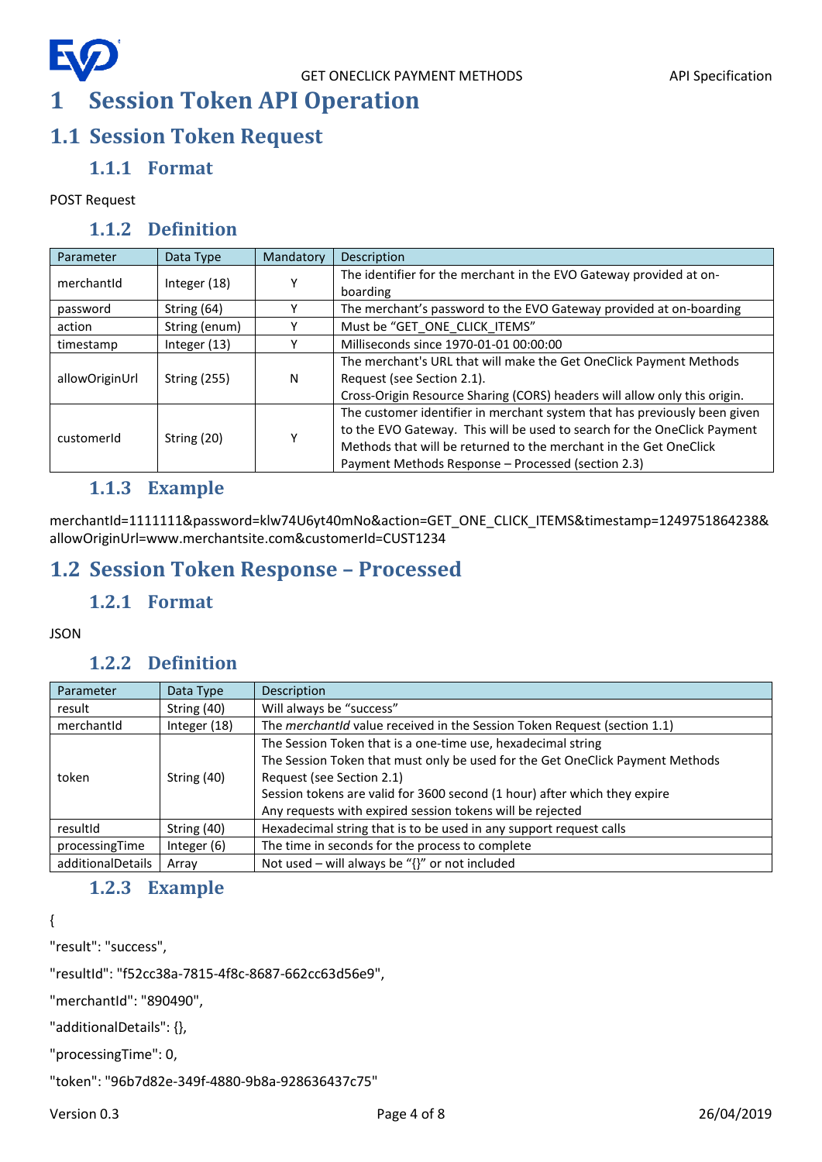## <span id="page-3-0"></span>**1 Session Token API Operation**

## <span id="page-3-2"></span><span id="page-3-1"></span>**1.1 Session Token Request**

### **1.1.1 Format**

#### <span id="page-3-3"></span>POST Request

#### **1.1.2 Definition**

| Parameter      | Data Type           | Mandatory | Description                                                               |
|----------------|---------------------|-----------|---------------------------------------------------------------------------|
| merchantid     |                     |           | The identifier for the merchant in the EVO Gateway provided at on-        |
|                | Integer $(18)$      |           | boarding                                                                  |
| password       | String (64)         |           | The merchant's password to the EVO Gateway provided at on-boarding        |
| action         | String (enum)       |           | Must be "GET ONE CLICK ITEMS"                                             |
| timestamp      | Integer $(13)$      |           | Milliseconds since 1970-01-01 00:00:00                                    |
|                |                     | N         | The merchant's URL that will make the Get OneClick Payment Methods        |
| allowOriginUrl | <b>String (255)</b> |           | Request (see Section 2.1).                                                |
|                |                     |           | Cross-Origin Resource Sharing (CORS) headers will allow only this origin. |
|                |                     |           | The customer identifier in merchant system that has previously been given |
| customerid     | String (20)         |           | to the EVO Gateway. This will be used to search for the OneClick Payment  |
|                |                     |           | Methods that will be returned to the merchant in the Get OneClick         |
|                |                     |           | Payment Methods Response - Processed (section 2.3)                        |

### **1.1.3 Example**

<span id="page-3-4"></span>merchantId=1111111&password=klw74U6yt40mNo&action=GET\_ONE\_CLICK\_ITEMS&timestamp=1249751864238& allowOriginUrl=www.merchantsite.com&customerId=CUST1234

## <span id="page-3-6"></span><span id="page-3-5"></span>**1.2 Session Token Response – Processed**

### **1.2.1 Format**

#### <span id="page-3-7"></span>JSON

### **1.2.2 Definition**

| Parameter         | Data Type     | Description                                                                     |
|-------------------|---------------|---------------------------------------------------------------------------------|
| result            | String (40)   | Will always be "success"                                                        |
| merchantid        | Integer (18)  | The <i>merchantid</i> value received in the Session Token Request (section 1.1) |
|                   |               | The Session Token that is a one-time use, hexadecimal string                    |
|                   | String (40)   | The Session Token that must only be used for the Get OneClick Payment Methods   |
| token             |               | Request (see Section 2.1)                                                       |
|                   |               | Session tokens are valid for 3600 second (1 hour) after which they expire       |
|                   |               | Any requests with expired session tokens will be rejected                       |
| resultId          | String (40)   | Hexadecimal string that is to be used in any support request calls              |
| processingTime    | Integer $(6)$ | The time in seconds for the process to complete                                 |
| additionalDetails | Array         | Not used – will always be " $\{$ " or not included                              |

### **1.2.3 Example**

<span id="page-3-8"></span>{

"result": "success",

"resultId": "f52cc38a-7815-4f8c-8687-662cc63d56e9",

"merchantId": "890490",

"additionalDetails": {},

"processingTime": 0,

"token": "96b7d82e-349f-4880-9b8a-928636437c75"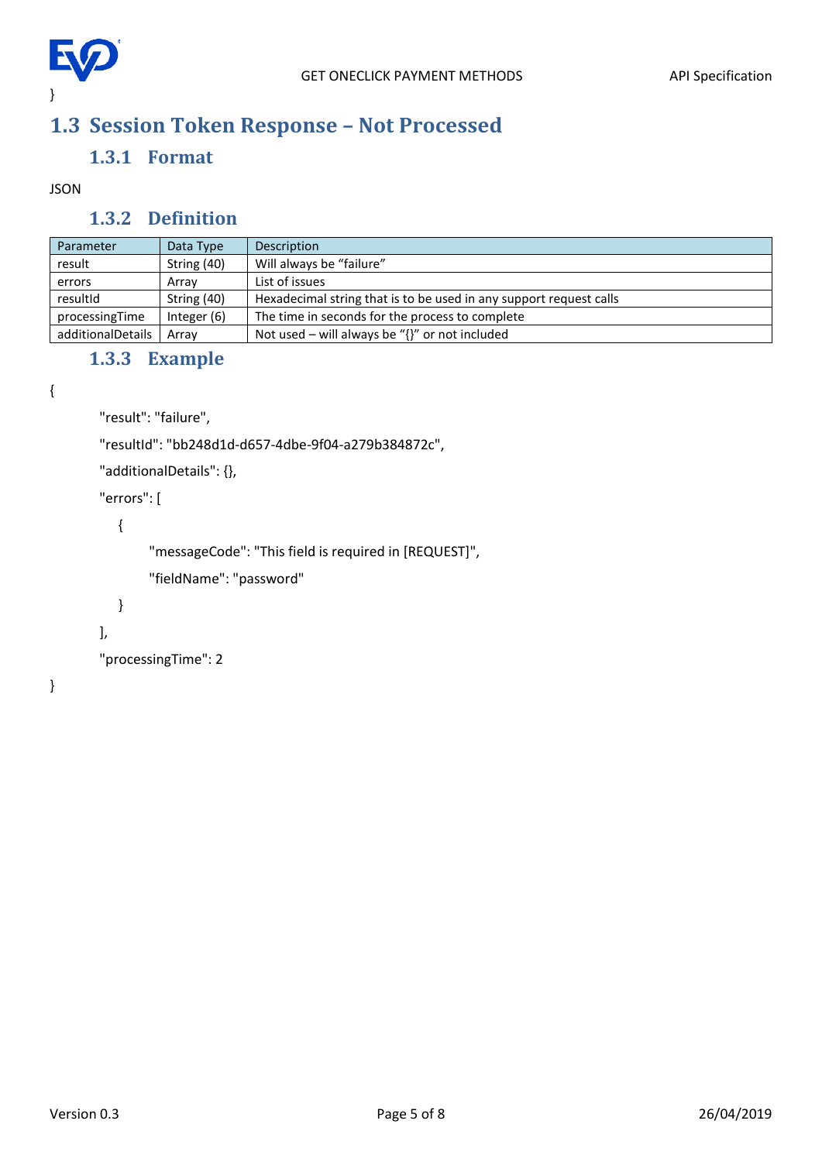

## <span id="page-4-1"></span><span id="page-4-0"></span>**1.3 Session Token Response – Not Processed**

#### **1.3.1 Format**

#### <span id="page-4-2"></span>JSON

#### **1.3.2 Definition**

| Parameter         | Data Type   | Description                                                        |
|-------------------|-------------|--------------------------------------------------------------------|
| result            | String (40) | Will always be "failure"                                           |
| errors            | Array       | List of issues                                                     |
| resultId          | String (40) | Hexadecimal string that is to be used in any support request calls |
| processingTime    | Integer (6) | The time in seconds for the process to complete                    |
| additionalDetails | Arrav       | Not used – will always be " $\{$ '' or not included                |

### **1.3.3 Example**

```
{
```

```
"result": "failure",
```
"resultId": "bb248d1d-d657-4dbe-9f04-a279b384872c",

```
"additionalDetails": {},
```

```
"errors": [
```
{

"messageCode": "This field is required in [REQUEST]",

```
"fieldName": "password"
```

```
}
```
],

```
"processingTime": 2
```
}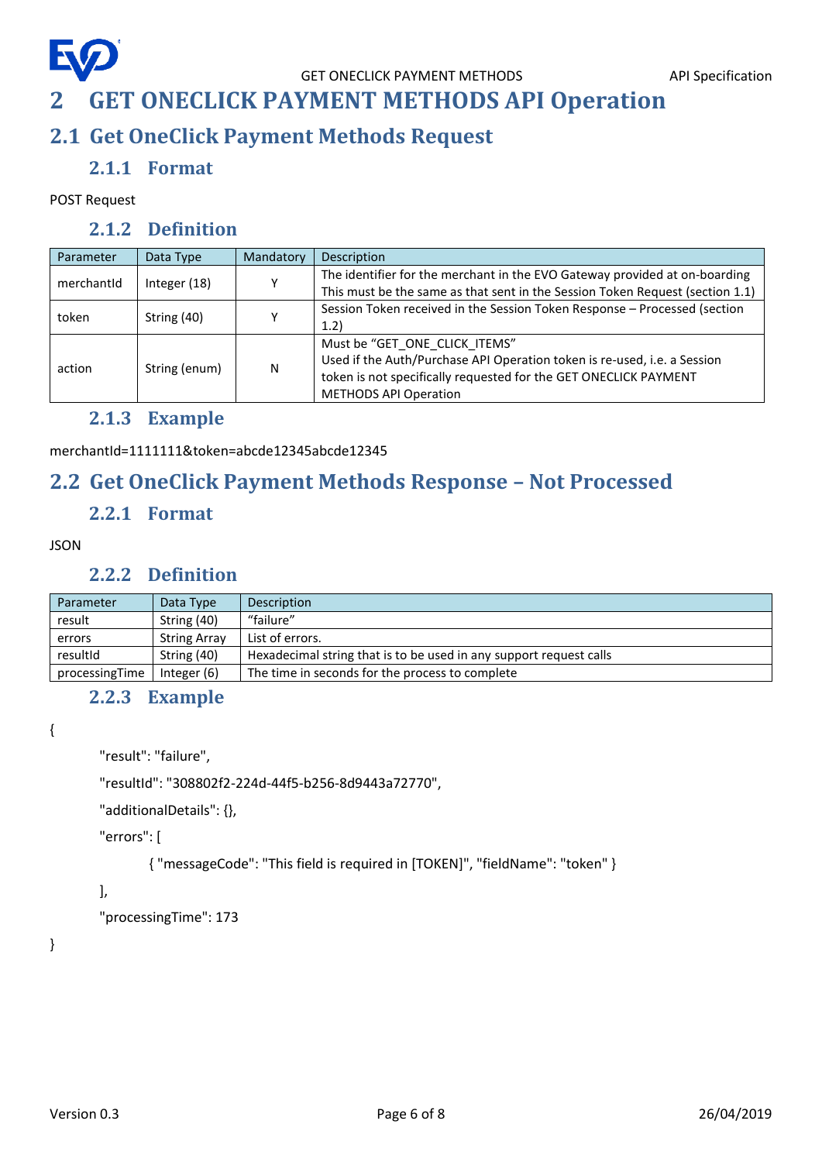## <span id="page-5-0"></span>**2 GET ONECLICK PAYMENT METHODS API Operation**

## <span id="page-5-2"></span><span id="page-5-1"></span>**2.1 Get OneClick Payment Methods Request**

### **2.1.1 Format**

<span id="page-5-3"></span>POST Request

### **2.1.2 Definition**

| Parameter  | Data Type     | Mandatory | Description                                                                   |
|------------|---------------|-----------|-------------------------------------------------------------------------------|
| merchantid | Integer (18)  |           | The identifier for the merchant in the EVO Gateway provided at on-boarding    |
|            |               |           | This must be the same as that sent in the Session Token Request (section 1.1) |
| token      | String (40)   |           | Session Token received in the Session Token Response - Processed (section     |
|            |               |           | (1.2)                                                                         |
|            | String (enum) | N         | Must be "GET ONE CLICK ITEMS"                                                 |
| action     |               |           | Used if the Auth/Purchase API Operation token is re-used, i.e. a Session      |
|            |               |           | token is not specifically requested for the GET ONECLICK PAYMENT              |
|            |               |           | <b>METHODS API Operation</b>                                                  |

#### **2.1.3 Example**

<span id="page-5-4"></span>merchantId=1111111&token=abcde12345abcde12345

### <span id="page-5-6"></span><span id="page-5-5"></span>**2.2 Get OneClick Payment Methods Response – Not Processed**

#### **2.2.1 Format**

#### **JSON**

#### **2.2.2 Definition**

<span id="page-5-7"></span>

| Parameter      | Data Type           | Description                                                        |
|----------------|---------------------|--------------------------------------------------------------------|
| result         | String (40)         | "failure"                                                          |
| errors         | <b>String Array</b> | List of errors.                                                    |
| resultId       | String (40)         | Hexadecimal string that is to be used in any support request calls |
| processingTime | Integer $(6)$       | The time in seconds for the process to complete                    |

#### **2.2.3 Example**

<span id="page-5-8"></span>{

"result": "failure",

"resultId": "308802f2-224d-44f5-b256-8d9443a72770",

"additionalDetails": {},

"errors": [

{ "messageCode": "This field is required in [TOKEN]", "fieldName": "token" }

#### ],

"processingTime": 173

}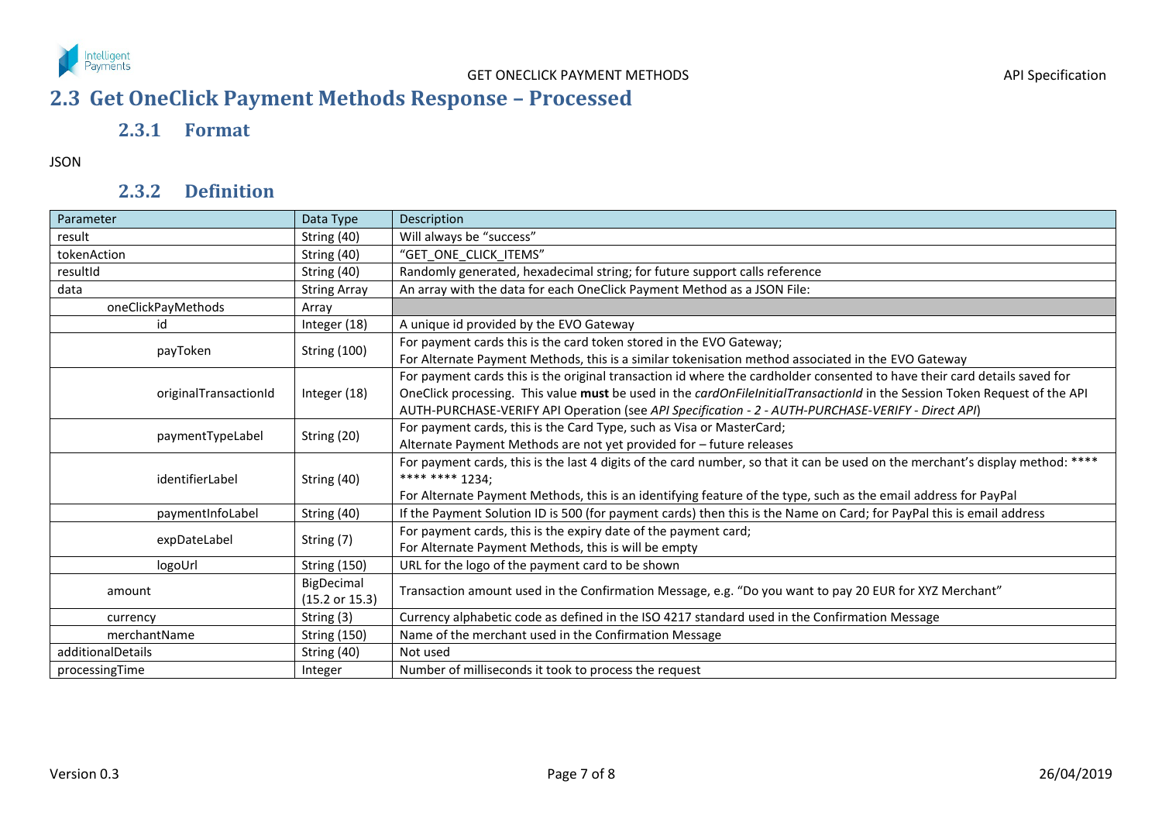

## **2.3 Get OneClick Payment Methods Response – Processed**

### **2.3.1 Format**

JSON

## **2.3.2 Definition**

<span id="page-6-2"></span><span id="page-6-1"></span><span id="page-6-0"></span>

| Parameter             | Data Type                               | Description                                                                                                                                                                                                                                                                                                                                                   |
|-----------------------|-----------------------------------------|---------------------------------------------------------------------------------------------------------------------------------------------------------------------------------------------------------------------------------------------------------------------------------------------------------------------------------------------------------------|
| result                | String (40)                             | Will always be "success"                                                                                                                                                                                                                                                                                                                                      |
| tokenAction           | String (40)                             | "GET ONE CLICK ITEMS"                                                                                                                                                                                                                                                                                                                                         |
| resultId              | String (40)                             | Randomly generated, hexadecimal string; for future support calls reference                                                                                                                                                                                                                                                                                    |
| data                  | <b>String Array</b>                     | An array with the data for each OneClick Payment Method as a JSON File:                                                                                                                                                                                                                                                                                       |
| oneClickPayMethods    | Array                                   |                                                                                                                                                                                                                                                                                                                                                               |
| id                    | Integer (18)                            | A unique id provided by the EVO Gateway                                                                                                                                                                                                                                                                                                                       |
| payToken              | <b>String (100)</b>                     | For payment cards this is the card token stored in the EVO Gateway;<br>For Alternate Payment Methods, this is a similar tokenisation method associated in the EVO Gateway                                                                                                                                                                                     |
| originalTransactionId | Integer (18)                            | For payment cards this is the original transaction id where the cardholder consented to have their card details saved for<br>OneClick processing. This value must be used in the cardOnFileInitialTransactionId in the Session Token Request of the API<br>AUTH-PURCHASE-VERIFY API Operation (see API Specification - 2 - AUTH-PURCHASE-VERIFY - Direct API) |
| paymentTypeLabel      | String (20)                             | For payment cards, this is the Card Type, such as Visa or MasterCard;<br>Alternate Payment Methods are not yet provided for - future releases                                                                                                                                                                                                                 |
| identifierLabel       | String (40)                             | For payment cards, this is the last 4 digits of the card number, so that it can be used on the merchant's display method: ****<br>**** **** 1234;<br>For Alternate Payment Methods, this is an identifying feature of the type, such as the email address for PayPal                                                                                          |
| paymentInfoLabel      | String (40)                             | If the Payment Solution ID is 500 (for payment cards) then this is the Name on Card; for PayPal this is email address                                                                                                                                                                                                                                         |
| expDateLabel          | String (7)                              | For payment cards, this is the expiry date of the payment card;<br>For Alternate Payment Methods, this is will be empty                                                                                                                                                                                                                                       |
| logoUrl               | <b>String (150)</b>                     | URL for the logo of the payment card to be shown                                                                                                                                                                                                                                                                                                              |
| amount                | BigDecimal<br>$(15.2 \text{ or } 15.3)$ | Transaction amount used in the Confirmation Message, e.g. "Do you want to pay 20 EUR for XYZ Merchant"                                                                                                                                                                                                                                                        |
| currency              | String (3)                              | Currency alphabetic code as defined in the ISO 4217 standard used in the Confirmation Message                                                                                                                                                                                                                                                                 |
| merchantName          | <b>String (150)</b>                     | Name of the merchant used in the Confirmation Message                                                                                                                                                                                                                                                                                                         |
| additionalDetails     | String (40)                             | Not used                                                                                                                                                                                                                                                                                                                                                      |
| processingTime        | Integer                                 | Number of milliseconds it took to process the request                                                                                                                                                                                                                                                                                                         |